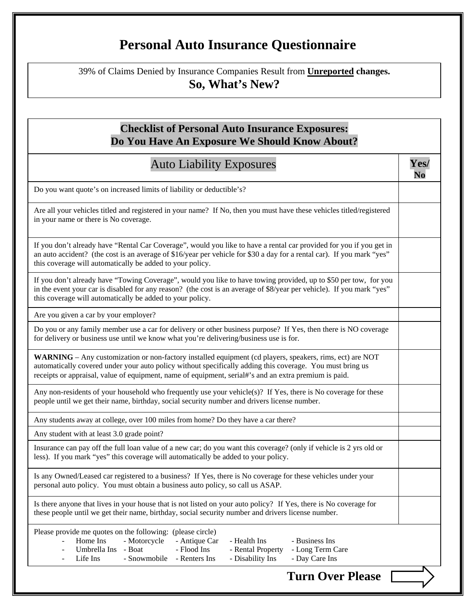## **Personal Auto Insurance Questionnaire**

39% of Claims Denied by Insurance Companies Result from **Unreported changes. So, What's New?** 

## **Checklist of Personal Auto Insurance Exposures: Do You Have An Exposure We Should Know About?**

| <b>Auto Liability Exposures</b>                                                                                                                                                                                                                                                                                                | Yes/<br>No |
|--------------------------------------------------------------------------------------------------------------------------------------------------------------------------------------------------------------------------------------------------------------------------------------------------------------------------------|------------|
| Do you want quote's on increased limits of liability or deductible's?                                                                                                                                                                                                                                                          |            |
| Are all your vehicles titled and registered in your name? If No, then you must have these vehicles titled/registered<br>in your name or there is No coverage.                                                                                                                                                                  |            |
| If you don't already have "Rental Car Coverage", would you like to have a rental car provided for you if you get in<br>an auto accident? (the cost is an average of \$16/year per vehicle for \$30 a day for a rental car). If you mark "yes"<br>this coverage will automatically be added to your policy.                     |            |
| If you don't already have "Towing Coverage", would you like to have towing provided, up to \$50 per tow, for you<br>in the event your car is disabled for any reason? (the cost is an average of \$8/year per vehicle). If you mark "yes"<br>this coverage will automatically be added to your policy.                         |            |
| Are you given a car by your employer?                                                                                                                                                                                                                                                                                          |            |
| Do you or any family member use a car for delivery or other business purpose? If Yes, then there is NO coverage<br>for delivery or business use until we know what you're delivering/business use is for.                                                                                                                      |            |
| WARNING – Any customization or non-factory installed equipment (cd players, speakers, rims, ect) are NOT<br>automatically covered under your auto policy without specifically adding this coverage. You must bring us<br>receipts or appraisal, value of equipment, name of equipment, serial#'s and an extra premium is paid. |            |
| Any non-residents of your household who frequently use your vehicle(s)? If Yes, there is No coverage for these<br>people until we get their name, birthday, social security number and drivers license number.                                                                                                                 |            |
| Any students away at college, over 100 miles from home? Do they have a car there?                                                                                                                                                                                                                                              |            |
| Any student with at least 3.0 grade point?                                                                                                                                                                                                                                                                                     |            |
| Insurance can pay off the full loan value of a new car; do you want this coverage? (only if vehicle is 2 yrs old or<br>less). If you mark "yes" this coverage will automatically be added to your policy.                                                                                                                      |            |
| Is any Owned/Leased car registered to a business? If Yes, there is No coverage for these vehicles under your<br>personal auto policy. You must obtain a business auto policy, so call us ASAP.                                                                                                                                 |            |
| Is there anyone that lives in your house that is not listed on your auto policy? If Yes, there is No coverage for<br>these people until we get their name, birthday, social security number and drivers license number.                                                                                                        |            |
| Please provide me quotes on the following: (please circle)<br>Home Ins<br>- Health Ins<br>- Business Ins<br>- Motorcycle<br>- Antique Car<br>Umbrella Ins<br>- Boat<br>- Flood Ins<br>- Rental Property<br>- Long Term Care<br>Life Ins<br>- Snowmobile<br>- Renters Ins<br>- Disability Ins<br>- Day Care Ins                 |            |
| <b>Turn Over Please</b>                                                                                                                                                                                                                                                                                                        |            |